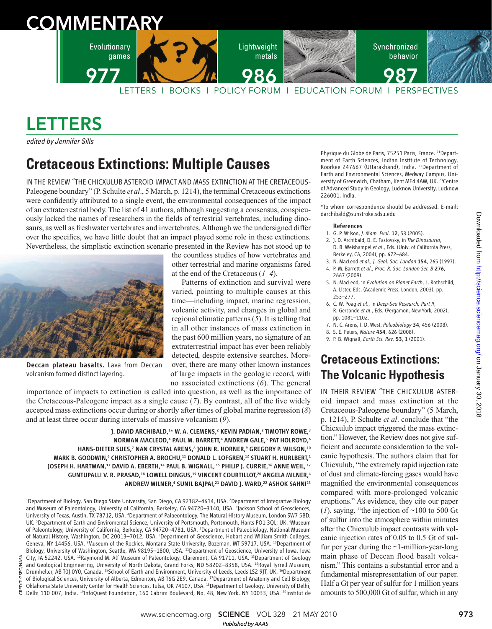# **COMMENTAR**



# LETTERS

edited by Jennifer Sills

# **Cretaceous Extinctions: Multiple Causes**

IN THE REVIEW "THE CHICXULUB ASTEROID IMPACT AND MASS EXTINCTION AT THE CRETACEOUS-Paleogene boundary" (P. Schulte *et al*., 5 March, p. 1214), the terminal Cretaceous extinctions were confidently attributed to a single event, the environmental consequences of the impact of an extraterrestrial body. The list of 41 authors, although suggesting a consensus, conspicuously lacked the names of researchers in the fields of terrestrial vertebrates, including dinosaurs, as well as freshwater vertebrates and invertebrates. Although we the undersigned differ over the specifics, we have little doubt that an impact played some role in these extinctions. Nevertheless, the simplistic extinction scenario presented in the Review has not stood up to



Deccan plateau basalts. Lava from Deccan volcanism formed distinct layering.

the countless studies of how vertebrates and other terrestrial and marine organisms fared at the end of the Cretaceous (*1*–*4*).

Patterns of extinction and survival were varied, pointing to multiple causes at this time—including impact, marine regression, volcanic activity, and changes in global and regional climatic patterns (*5*). It is telling that in all other instances of mass extinction in the past 600 million years, no signature of an extraterrestrial impact has ever been reliably detected, despite extensive searches. Moreover, there are many other known instances of large impacts in the geologic record, with no associated extinctions (*6*). The general

importance of impacts to extinction is called into question, as well as the importance of the Cretaceous-Paleogene impact as a single cause (7). By contrast, all of the five widely accepted mass extinctions occur during or shortly after times of global marine regression (*8*) and at least three occur during intervals of massive volcanism (*9*).

J. DAVID ARCHIBALD,1\* W. A. CLEMENS,<sup>2</sup> KEVIN PADIAN,<sup>2</sup> TIMOTHY ROWE,<sup>3</sup> NORMAN MACLEOD,4 PAUL M. BARRETT,4 ANDREW GALE,5 PAT HOLROYD,6 HANS-DIETER SUES,<sup>7</sup> NAN CRYSTAL ARENS,<sup>8</sup> JOHN R. HORNER,<sup>9</sup> GREGORY P. WILSON,<sup>10</sup> MARK B. GOODWIN,' CHRISTOPHER A. BROCHU,11 DONALD L. LOFGREN,12 STUART H. HURLBERT,1 JOSEPH H. HARTMAN,<sup>13</sup> DAVID A. EBERTH,<sup>14</sup> PAUL B. WIGNALL,<sup>15</sup> PHILIP J. CURRIE,<sup>16</sup> ANNE WEIL,<sup>17</sup> GUNTUPALLI V. R. PRASAD,<sup>18</sup> LOWELL DINGUS,<sup>19</sup> VINCENT COURTILLOT,<sup>20</sup> ANGELA MILNER,<sup>4</sup> ANDREW MILNER,<sup>4</sup> SUNIL BAJPAI,<sup>21</sup> DAVID J. WARD,<sup>22</sup> ASHOK SAHNI<sup>23</sup>

<sup>1</sup>Department of Biology, San Diego State University, San Diego, CA 92182–4614, USA. <sup>2</sup>Department of Integrative Biology and Museum of Paleontology, University of California, Berkeley, CA 94720–3140, USA. <sup>3</sup> Jackson School of Geosciences, University of Texas, Austin, TX 78712, USA. <sup>4</sup>Department of Palaeontology, The Natural History Museum, London SW7 5BD, UK. <sup>5</sup>Department of Earth and Enviromental Science, University of Portsmouth, Portsmouth, Hants PO1 3QL, UK. <sup>6</sup>Museum of Paleontology, University of California, Berkeley, CA 94720–4781, USA. <sup>7</sup>Department of Paleobiology, National Museum of Natural History, Washington, DC 20013-7012, USA. <sup>8</sup>Department of Geoscience, Hobart and William Smith Colleges, Geneva, NY 14456, USA. <sup>9</sup>Museum of the Rockies, Montana State University, Bozeman, MT 59717, USA. <sup>10</sup>Department of Biology, University of Washington, Seattle, WA 98195–1800, USA. <sup>11</sup>Department of Geoscience, University of Iowa, Iowa City, IA 52242, USA. <sup>12</sup>Raymond M. Alf Museum of Paleontology, Claremont, CA 91711, USA. <sup>13</sup>Department of Geology and Geological Engineering, University of North Dakota, Grand Forks, ND 58202–8358, USA. <sup>14</sup>Royal Tyrrell Museum, Drumheller, AB T0J 0Y0, Canada. <sup>15</sup>School of Earth and Environment, University of Leeds, Leeds LS2 9JT, UK. <sup>16</sup>Department of Biological Sciences, University of Alberta, Edmonton, AB T6G 2E9, Canada. <sup>17</sup>Department of Anatomy and Cell Biology, Oklahoma State University Center for Health Sciences, Tulsa, OK 74107, USA. <sup>18</sup>Department of Geology, University of Delhi, Delhi 110 007, India. <sup>19</sup>InfoQuest Foundation, 160 Cabrini Boulevard, No. 48, New York, NY 10033, USA. <sup>20</sup>Institut de

Physique du Globe de Paris, 75251 Paris, France. <sup>21</sup>Department of Earth Sciences, Indian Institute of Technology, Roorkee 247667 (Uttarakhand), India. <sup>22</sup>Department of Earth and Environmental Sciences, Medway Campus, University of Greenwich, Chatham, Kent ME4 4AW, UK. <sup>23</sup>Centre of Advanced Study in Geology, Lucknow University, Lucknow 226001, India.

\*To whom correspondence should be addressed. E-mail: darchibald@sunstroke.sdsu.edu

#### References

1. G. P. Wilson, *J. Mam. Evol*. 12, 53 (2005).

- 2. J. D. Archibald, D. E. Fastovsky, in *The Dinosauria*, D. B. Weishampel *et al*., Eds. (Univ. of California Press, Berkeley, CA, 2004), pp. 672–684.
- 3. N. MacLeod *et al*., *J. Geol. Soc. London* 154, 265 (1997). 4. P. M. Barrett *et al*., *Proc. R. Soc. London Ser. B* 276,
- 2667 (2009).
- 5. N. MacLeod, in *Evolution on Planet Earth*, L. Rothschild, A. Lister, Eds. (Academic Press, London, 2003), pp. 253–277.
- 6. C. W. Poag *et al*., in *Deep-Sea Research, Part II*, R. Gersonde *et al*., Eds. (Pergamon, New York, 2002), pp. 1081–1102.
- 7. N. C. Arens, I. D. West, *Paleobiology* 34, 456 (2008).
- 8. S. E. Peters, *Nature* 454, 626 (2008).
- 9. P. B. Wignall, *Earth Sci. Rev*. 53, 1 (2001).

## **Cretaceous Extinctions: The Volcanic Hypothesis**

IN THEIR REVIEW "THE CHICXULUB ASTERoid impact and mass extinction at the Cretaceous-Paleogene boundary" (5 March, p. 1214), P. Schulte *et al*. conclude that "the Chicxulub impact triggered the mass extinction." However, the Review does not give sufficient and accurate consideration to the volcanic hypothesis. The authors claim that for Chicxulub, "the extremely rapid injection rate of dust and climate-forcing gases would have magnified the environmental consequences compared with more-prolonged volcanic eruptions." As evidence, they cite our paper  $(1)$ , saying, "the injection of  $\sim$ 100 to 500 Gt of sulfur into the atmosphere within minutes after the Chicxulub impact contrasts with volcanic injection rates of 0.05 to 0.5 Gt of sulfur per year during the ~1-million-year-long main phase of Deccan flood basalt volcanism." This contains a substantial error and a fundamental misrepresentation of our paper. Half a Gt per year of sulfur for 1 million years amounts to 500,000 Gt of sulfur, which in any

www.sciencemag.org **SCIENCE** VOL 328 21 MAY 2010 *Published byAAAS*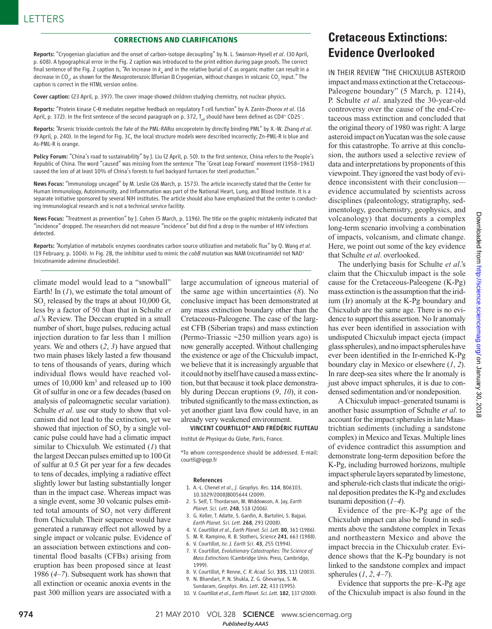#### **CORRECTIONS AND CLARIFICATIONS**

Reports: "Cryogenian glaciation and the onset of carbon-isotope decoupling" by N. L. Swanson-Hysell *et al*. (30 April, p. 608). A typographical error in the Fig. 2 caption was introduced to the print edition during page proofs. The correct final sentence of the Fig. 2 caption is, "An increase in  $k_{_{\rm w}}$  and in the relative burial of C as organic matter can result in a decrease in CO<sub>2</sub>, as shown for the Mesoproterozoic ⊠Tonian ⊠ Cryogenian, without changes in volcanic CO<sub>2</sub> input." The caption is correct in the HTML version online.

Cover caption: (23 April, p. 397). The cover image showed children studying chemistry, not nuclear physics.

Reports: "Protein kinase C-θ mediates negative feedback on regulatory T cell function" by A. Zanin-Zhorov *et al*. (16 April, p. 372). In the first sentence of the second paragraph on p. 372, T<sub>eff</sub> should have been defined as CD4+ CD25<sup>–</sup>.

Reports: "Arsenic trioxide controls the fate of the PML-RARα oncoprotein by directly binding PML" by X.-W. Zhang *et al*. (9 April, p. 240). In the legend for Fig. 3C, the local structure models were described incorrectly; Zn-PML-R is blue and As-PML-R is orange.

Policy Forum: "China's road to sustainability" by J. Liu (2 April, p. 50). In the first sentence, China refers to the People's Republic of China. The word "caused" was missing from the sentence "The 'Great Leap Forward' movement (1958–1961) caused the loss of at least 10% of China's forests to fuel backyard furnaces for steel production."

News Focus: "Immunology uncaged" by M. Leslie (26 March, p. 1573). The article incorrectly stated that the Center for Human Immunology, Autoimmunity, and Inflammation was part of the National Heart, Lung, and Blood Institute. It is a separate initiative sponsored by several NIH institutes. The article should also have emphasized that the center is conducting immunological research and is not a technical service facility.

News Focus: "Treatment as prevention" by J. Cohen (5 March, p. 1196). The title on the graphic mistakenly indicated that "incidence" dropped. The researchers did not measure "incidence" but did find a drop in the number of HIV infections detected.

Reports: "Acetylation of metabolic enzymes coordinates carbon source utilization and metabolic flux" by Q. Wang *et al.* (19 February, p. 1004). In Fig. 2B, the inhibitor used to mimic the *cobB* mutation was NAM (nicotinamide) not NAD<sup>+</sup> (nicotinamide adenine dinucleotide).

climate model would lead to a "snowball" Earth! In (*1*), we estimate the total amount of  $SO_2$  released by the traps at about 10,000 Gt, less by a factor of 50 than that in Schulte *et al*.'s Review. The Deccan erupted in a small number of short, huge pulses, reducing actual injection duration to far less than 1 million years. We and others (*2*, *3*) have argued that two main phases likely lasted a few thousand to tens of thousands of years, during which individual flows would have reached volumes of 10,000 km<sup>3</sup> and released up to 100 Gt of sulfur in one or a few decades (based on analysis of paleomagnetic secular variation). Schulte *et al*. use our study to show that volcanism did not lead to the extinction, yet we showed that injection of  $SO_2$  by a single volcanic pulse could have had a climatic impact similar to Chicxulub. We estimated (*1*) that the largest Deccan pulses emitted up to 100 Gt of sulfur at 0.5 Gt per year for a few decades to tens of decades, implying a radiative effect slightly lower but lasting substantially longer than in the impact case. Whereas impact was a single event, some 30 volcanic pulses emitted total amounts of  $SO_2$  not very different from Chicxulub. Their sequence would have generated a runaway effect not allowed by a single impact or volcanic pulse. Evidence of an association between extinctions and continental flood basalts (CFBs) arising from eruption has been proposed since at least 1986 (*4*–*7*). Subsequent work has shown that all extinction or oceanic anoxia events in the past 300 million years are associated with a

large accumulation of igneous material of the same age within uncertainties (*8*). No conclusive impact has been demonstrated at any mass extinction boundary other than the Cretaceous-Paleogene. The case of the largest CFB (Siberian traps) and mass extinction (Permo-Triassic  $\sim$ 250 million years ago) is now generally accepted. Without challenging the existence or age of the Chicxulub impact, we believe that it is increasingly arguable that it could not by itself have caused a mass extinction, but that because it took place demonstrably during Deccan eruptions (*9*, *10*), it contributed significantly to the mass extinction, as yet another giant lava flow could have, in an already very weakened environment.

VINCENT COURTILLOT\* AND FRÉDÉRIC FLUTEAU

Institut de Physique du Globe, Paris, France.

\*To whom correspondence should be addressed. E-mail: courtil@ipgp.fr

#### References

- 1. A.-L. Chenet *et al*., *J. Geophys. Res*. 114, B06103, 10.1029/2008JB005644 (2009).
- 2. S. Self, T. Thordarson, M. Widdowson, A. Jay, *Earth Planet. Sci. Lett*. 248, 518 (2006).
- 3. G. Keller, T. Adatte, S. Gardin, A. Bartolini, S. Bajpai, *Earth Planet. Sci. Lett*. 268, 293 (2008).
- 4. V. Courtillot *et al*., *Earth Planet. Sci. Lett*. 80, 361 (1986).
- 5. M. R. Rampino, R. B. Stothers, *Science* 241, 663 (1988).
- 6. V. Courtillot, *Isr. J. Earth Sci*. 43, 255 (1994).
- 7. V. Courtillot, *Evolutionary Catastrophes: The Science of Mass Extinctions* (Cambridge Univ. Press, Cambridge, 1999).
- 8. V. Courtillot, P. Renne, *C. R. Acad. Sci*. 335, 113 (2003).
- 9. N. Bhandari, P. N. Shukla, Z. G. Ghevariya, S. M. Sundaram, *Geophys. Res. Lett*. 22, 433 (1995).
- 10. V. Courtillot *et al*., *Earth Planet. Sci. Lett*. 182, 137 (2000).

### **Cretaceous Extinctions: Evidence Overlooked**

IN THEIR REVIEW "THE CHICXULUB ASTEROID impact and mass extinction at the Cretaceous-Paleogene boundary" (5 March, p. 1214), P. Schulte *et al*. analyzed the 30-year-old controversy over the cause of the end-Cretaceous mass extinction and concluded that the original theory of 1980 was right: A large asteroid impact on Yucatan was the sole cause for this catastrophe. To arrive at this conclusion, the authors used a selective review of data and interpretations by proponents of this viewpoint. They ignored the vast body of evidence inconsistent with their conclusion evidence accumulated by scientists across disciplines (paleontology, stratigraphy, sedimentology, geochemistry, geophysics, and volcanology) that documents a complex long-term scenario involving a combination of impacts, volcanism, and climate change. Here, we point out some of the key evidence that Schulte *et al*. overlooked.

The underlying basis for Schulte *et al*.'s claim that the Chicxulub impact is the sole cause for the Cretaceous-Paleogene (K-Pg) mass extinction is the assumption that the iridium (Ir) anomaly at the K-Pg boundary and Chicxulub are the same age. There is no evidence to support this assertion. No Ir anomaly has ever been identified in association with undisputed Chicxulub impact ejecta (impact glass spherules), and no impact spherules have ever been identified in the Ir-enriched K-Pg boundary clay in Mexico or elsewhere (*1*, *2*). In rare deep-sea sites where the Ir anomaly is just above impact spherules, it is due to condensed sedimentation and/or nondeposition.

A Chicxulub impact–generated tsunami is another basic assumption of Schulte *et al*. to account for the impact spherules in late Maastrichtian sediments (including a sandstone complex) in Mexico and Texas. Multiple lines of evidence contradict this assumption and demonstrate long-term deposition before the K-Pg, including burrowed horizons, multiple impact spherule layers separated by limestone, and spherule-rich clasts that indicate the original deposition predates the K-Pg and excludes tsunami deposition (*1*–*4*).

Evidence of the pre–K-Pg age of the Chicxulub impact can also be found in sediments above the sandstone complex in Texas and northeastern Mexico and above the impact breccia in the Chicxulub crater. Evidence shows that the K-Pg boundary is not linked to the sandstone complex and impact spherules (*1*, *2*, *4*–*7*).

Evidence that supports the pre–K-Pg age of the Chicxulub impact is also found in the

974 21 MAY 2010 VOL 328 SCIENCE www.sciencemag.org *Published byAAAS*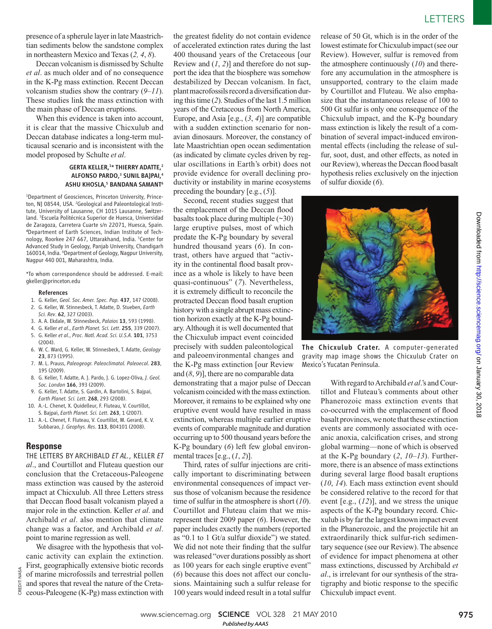presence of a spherule layer in late Maastrichtian sediments below the sandstone complex in northeastern Mexico and Texas (*2, 4*, *8*).

Deccan volcanism is dismissed by Schulte *et al*. as much older and of no consequence in the K-Pg mass extinction. Recent Deccan volcanism studies show the contrary (*9–11*). These studies link the mass extinction with the main phase of Deccan eruptions.

When this evidence is taken into account, it is clear that the massive Chicxulub and Deccan database indicates a long-term multicausal scenario and is inconsistent with the model proposed by Schulte *et al*.

#### GERTA KELLER,<sup>1</sup> \* THIERRY ADATTE,<sup>2</sup> ALFONSO PARDO,<sup>3</sup> SUNIL BAJPAI,<sup>4</sup> ASHU KHOSLA,<sup>5</sup> BANDANA SAMANT<sup>6</sup>

<sup>1</sup>Department of Geosciences, Princeton University, Princeton, NJ 08544, USA. <sup>2</sup>Geological and Paleontological Institute, University of Lausanne, CH 1015 Lausanne, Switzerland. <sup>3</sup>Escuela Politécnica Superior de Huesca, Universidad de Zaragoza, Carretera Cuarte s/n 22071, Huesca, Spain. **<sup>4</sup>**Department of Earth Sciences, Indian Institute of Technology, Roorkee 247 667, Uttarakhand, India. <sup>5</sup>Center for Advanced Study in Geology, Panjab University, Chandigarh 160014, India. <sup>6</sup>Department of Geology, Nagpur University, Nagpur 440 001, Maharashtra, India.

\*To whom correspondence should be addressed. E-mail: gkeller@princeton.edu

#### References

- 1. G. Keller, *Geol. Soc. Amer. Spec. Pap.* 437, 147 (2008).
- 2. G. Keller, W. Stinnesbeck, T. Adatte, D. Stueben, *Earth Sci. Rev*. 62, 327 (2003).
- 3. A. A. Ekdale, W. Stinnesbeck, *Palaios* 13, 593 (1998).
- 4. G. Keller *et al*., *Earth Planet. Sci. Lett*. 255, 339 (2007).
- 5. G. Keller *et al*., *Proc. Natl. Acad. Sci. U.S.A*. 101, 3753 (2004).
- 6. W. C. Ward, G. Keller, W. Stinnesbeck, T. Adatte, *Geology* 23, 873 (1995).
- 7. M. L. Prauss, *Paleogeogr. Paleoclimatol. Paleoecol*. 283, 195 (2009).
- 8. G. Keller, T. Adatte, A. J. Pardo, J. G. Lopez-Oliva, *J. Geol. Soc. London* 166, 393 (2009).
- 9. G. Keller, T. Adatte, S. Gardin, A. Bartolini, S. Bajpai, *Earth Planet. Sci. Lett*. 268, 293 (2008).
- 10. A.-L. Chenet, X. Quidelleur, F. Fluteau, V. Courtillot, S. Bajpai, *Earth Planet. Sci. Lett*. 263, 1 (2007).
- 11. A.-L. Chenet, F. Fluteau, V. Courtillot, M. Gerard, K. V. Subbarao, *J. Geophys. Res*. 113, B04101 (2008).

#### **Response**

CREDIT: NASA

THE LETTERS BY ARCHIBALD *ET AL.*, KELLER *ET al*., and Courtillot and Fluteau question our conclusion that the Cretaceous-Paleogene mass extinction was caused by the asteroid impact at Chicxulub. All three Letters stress that Deccan flood basalt volcanism played a major role in the extinction. Keller *et al*. and Archibald *et al*. also mention that climate change was a factor, and Archibald *et al*. point to marine regression as well.

We disagree with the hypothesis that volcanic activity can explain the extinction. First, geographically extensive biotic records of marine microfossils and terrestrial pollen and spores that reveal the nature of the Cretaceous-Paleogene (K-Pg) mass extinction with

the greatest fidelity do not contain evidence of accelerated extinction rates during the last 400 thousand years of the Cretaceous [our Review and (*1*, *2*)] and therefore do not support the idea that the biosphere was somehow destabilized by Deccan volcanism. In fact, plant macrofossils record a diversification during this time (*2*). Studies of the last 1.5 million years of the Cretaceous from North America, Europe, and Asia [e.g., (*3*, *4*)] are compatible with a sudden extinction scenario for nonavian dinosaurs. Moreover, the constancy of late Maastrichtian open ocean sedimentation (as indicated by climate cycles driven by regular oscillations in Earth's orbit) does not provide evidence for overall declining productivity or instability in marine ecosystems preceding the boundary [e.g., (*5*)].

Second, recent studies suggest that the emplacement of the Deccan flood basalts took place during multiple (~30) large eruptive pulses, most of which predate the K-Pg boundary by several hundred thousand years (*6*). In contrast, others have argued that "activity in the continental flood basalt province as a whole is likely to have been quasi-continuous" (*7*). Nevertheless, it is extremely difficult to reconcile the protracted Deccan flood basalt eruption history with a single abrupt mass extinction horizon exactly at the K-Pg boundary. Although it is well documented that the Chicxulub impact event coincided precisely with sudden paleontological and paleoenvironmental changes and the K-Pg mass extinction [our Review and (*8*, *9*)], there are no comparable data demonstrating that a major pulse of Deccan

volcanism coincided with the mass extinction. Moreover, it remains to be explained why one eruptive event would have resulted in mass extinction, whereas multiple earlier eruptive events of comparable magnitude and duration occurring up to 500 thousand years before the K-Pg boundary (*6*) left few global environmental traces [e.g., (*1*, *2*)].

Third, rates of sulfur injections are critically important to discriminating between environmental consequences of impact versus those of volcanism because the residence time of sulfur in the atmosphere is short (*10*). Courtillot and Fluteau claim that we misrepresent their 2009 paper (*6*). However, the paper includes exactly the numbers (reported as "0.1 to 1 Gt/a sulfur dioxide") we stated. We did not note their finding that the sulfur was released "over durations possibly as short as 100 years for each single eruptive event" (*6*) because this does not affect our conclusions. Maintaining such a sulfur release for 100 years would indeed result in a total sulfur

release of 50 Gt, which is in the order of the lowest estimate for Chicxulub impact (see our Review). However, sulfur is removed from the atmosphere continuously (*10*) and therefore any accumulation in the atmosphere is unsupported, contrary to the claim made by Courtillot and Fluteau. We also emphasize that the instantaneous release of 100 to 500 Gt sulfur is only one consequence of the Chicxulub impact, and the K-Pg boundary mass extinction is likely the result of a combination of several impact-induced environmental effects (including the release of sulfur, soot, dust, and other effects, as noted in our Review), whereas the Deccan flood basalt hypothesis relies exclusively on the injection of sulfur dioxide (*6*).



The Chicxulub Crater. A computer-generated gravity map image shows the Chicxulub Crater on Mexico's Yucatan Peninsula.

With regard to Archibald *et al*.'s and Courtillot and Fluteau's comments about other Phanerozoic mass extinction events that co-occurred with the emplacement of flood basalt provinces, we note that these extinction events are commonly associated with oceanic anoxia, calcification crises, and strong global warming—none of which is observed at the K-Pg boundary (*2*, *10–13*). Furthermore, there is an absence of mass extinctions during several large flood basalt eruptions (*10*, *14*). Each mass extinction event should be considered relative to the record for that event [e.g., (*12*)], and we stress the unique aspects of the K-Pg boundary record. Chicxulub is by far the largest known impact event in the Phanerozoic, and the projectile hit an extraordinarily thick sulfur-rich sedimentary sequence (see our Review). The absence of evidence for impact phenomena at other mass extinctions, discussed by Archibald *et al*., is irrelevant for our synthesis of the stratigraphy and biotic response to the specific Chicxulub impact event.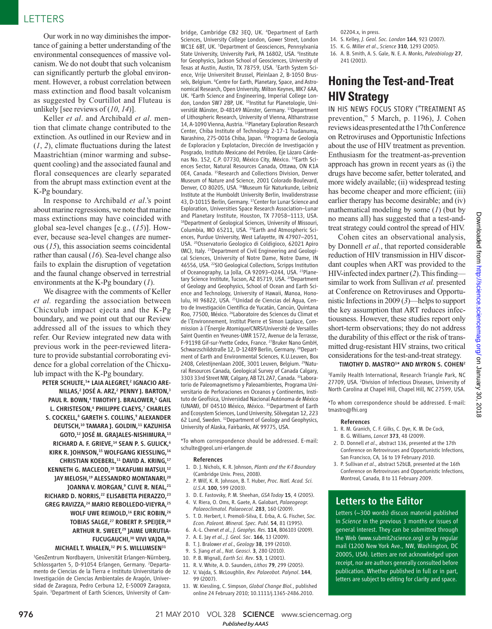### **LETTERS**

Our work in no way diminishes the importance of gaining a better understanding of the environmental consequences of massive volcanism. We do not doubt that such volcanism can significantly perturb the global environment. However, a robust correlation between mass extinction and flood basalt volcanism as suggested by Courtillot and Fluteau is unlikely [see reviews of (*10*, *14*)].

Keller *et al*. and Archibald *et al*. mention that climate change contributed to the extinction. As outlined in our Review and in  $(1, 2)$ , climate fluctuations during the latest Maastrichtian (minor warming and subsequent cooling) and the associated faunal and floral consequences are clearly separated from the abrupt mass extinction event at the K-Pg boundary.

In response to Archibald *et al*.'s point about marine regressions, we note that marine mass extinctions may have coincided with global sea-level changes [e.g., (*15*)]. However, because sea-level changes are numerous (*15*), this association seems coincidental rather than causal (*16*). Sea-level change also fails to explain the disruption of vegetation and the faunal change observed in terrestrial environments at the K-Pg boundary (*1*).

We disagree with the comments of Keller *et al.* regarding the association between Chicxulub impact ejecta and the K-Pg boundary, and we point out that our Review addressed all of the issues to which they refer. Our Review integrated new data with previous work in the peer-reviewed literature to provide substantial corroborating evidence for a global correlation of the Chicxulub impact with the K-Pg boundary.

PETER SCHULTE,<sup>1\*</sup> LAIA ALEGRET,<sup>2</sup> IGNACIO ARE-NILLAS,<sup>2</sup> JOSÉ A. ARZ,<sup>2</sup> PENNY J. BARTON,<sup>3</sup> PAUL R. BOWN,<sup>4</sup> TIMOTHY J. BRALOWER,<sup>5</sup> GAIL L. CHRISTESON,6 PHILIPPE CLAEYS,7 CHARLES S. COCKELL,8 GARETH S. COLLINS,9 ALEXANDER DEUTSCH,<sup>10</sup> TAMARA ]. GOLDIN,<sup>11</sup> KAZUHISA GOTO,12 JOSÉ M. GRAJALES-NISHIMURA,<sup>13</sup> RICHARD A. F. GRIEVE,<sup>14</sup> SEAN P. S. GULICK,<sup>6</sup> KIRK R. JOHNSON,<sup>15</sup> WOLFGANG KIESSLING,<sup>16</sup> CHRISTIAN KOEBERL,<sup>11</sup> DAVID A. KRING,<sup>17</sup> KENNETH G. MACLEOD,<sup>18</sup> TAKAFUMI MATSUI,<sup>12</sup> JAY MELOSH,<sup>19</sup> ALESSANDRO MONTANARI,<sup>20</sup> JOANNA V. MORGAN,<sup>9</sup> CLIVE R. NEAL,<sup>21</sup> RICHARD D. NORRIS,<sup>22</sup> ELISABETTA PIERAZZO,<sup>23</sup> GREG RAVIZZA,<sup>24</sup> MARIO REBOLLEDO-VIEYRA,<sup>25</sup> WOLF UWE REIMOLD,<sup>16</sup> ERIC ROBIN,<sup>26</sup> TOBIAS SALGE,<sup>27</sup> ROBERT P. SPEIJER,<sup>28</sup> ARTHUR R. SWEET,<sup>29</sup> JAIME URRUTIA-FUCUGAUCHI, 30 VIVI VAJDA, 31 MICHAEL T. WHALEN, 32 PI S. WILLUMSEN31

<sup>1</sup>GeoZentrum Nordbayern, Universität Erlangen-Nürnberg, Schlossgarten 5, D-91054 Erlangen, Germany. <sup>2</sup>Departamento de Ciencias de la Tierra e Instituto Universitario de Investigación de Ciencias Ambientales de Aragón, Universidad de Zaragoza, Pedro Cerbuna 12, E-50009 Zaragoza, Spain. 3Department of Earth Sciences, University of Cam-

bridge, Cambridge CB2 3EQ, UK. <sup>4</sup>Department of Earth Sciences, University College London, Gower Street, London WC1E 6BT, UK. <sup>5</sup>Department of Geosciences, Pennsylvania State University, University Park, PA 16802, USA. <sup>6</sup>Institute for Geophysics, Jackson School of Geosciences, University of Texas at Austin, Austin, TX 78759, USA. <sup>7</sup>Earth System Science, Vrije Universiteit Brussel, Pleinlaan 2, B-1050 Brussels, Belgium. <sup>8</sup>Centre for Earth, Planetary, Space, and Astronomical Research, Open University, Milton Keynes, MK7 6AA, UK. 9Earth Science and Engineering, Imperial College London, London SW7 2BP, UK. <sup>10</sup>Institut fur Planetologie, Universität Münster, D-48149 Münster, Germany. <sup>11</sup>Department of Lithospheric Research, University of Vienna, Althanstrasse 14, A-1090 Vienna, Austria. <sup>12</sup>Planetary Exploration Research Center, Chiba Institute of Technology 2-17-1 Tsudanuma, Narashino, 275-0016 Chiba, Japan. <sup>13</sup>Programa de Geología de Exploracíon y Explotacíon, Dirección de Investigación y Posgrado, Instituto Mexicano del Petróleo, Eje Lázaro Cárdenas No. 152, C.P. 07730, México City, México. 14Earth Sciences Sector, Natural Resources Canada, Ottawa, ON K1A 0E4, Canada. <sup>15</sup>Research and Collections Division, Denver Museum of Nature and Science, 2001 Colorado Boulevard, Denver, CO 80205, USA. <sup>16</sup>Museum für Naturkunde, Leibniz Institute at the Humboldt University Berlin, Invalidenstrasse 43, D-10115 Berlin, Germany. <sup>17</sup>Center for Lunar Science and Exploration, Universities Space Research Association–Lunar and Planetary Institute, Houston, TX 77058–1113, USA. <sup>18</sup>Department of Geological Sciences, University of Missouri, Columbia, MO 65211, USA. 19Earth and Atmospheric Sciences, Purdue University, West Lafayette, IN 47907–2051, USA. <sup>20</sup>Osservatorio Geologico di Coldigioco, 62021 Apiro (MC), Italy. 21Department of Civil Engineering and Geological Sciences, University of Notre Dame, Notre Dame, IN 46556, USA. <sup>22</sup>SIO Geological Collections, Scripps Institution of Oceanography, La Jolla, CA 92093–0244, USA. 23Planetary Science Institute, Tucson, AZ 85719, USA. <sup>24</sup>Department of Geology and Geophysics, School of Ocean and Earth Science and Technology, University of Hawaii, Manoa, Honolulu, HI 96822, USA. 25Unidad de Ciencias del Agua, Centro de Investigación Científica de Yucatán, Cancún, Quintana Roo, 77500, México. <sup>26</sup>Laboratoire des Sciences du Climat et de l'Environnement, Institut Pierre et Simon Laplace, Commission à l'É nergie Atomique/CNRS/Université de Versailles Saint Quentin en Yveunes-UMR 1572, Avenue de la Terrasse, F-91198 Gif-sur-Yvette Cedex, France. <sup>27</sup>Bruker Nano GmbH, Schwarzschildstraße 12, D-12489 Berlin, Germany. 28Department of Earth and Environmental Sciences, K.U.Leuven, Box 2408, Celestijnenlaan 200E, 3001 Leuven, Belgium. 29Natural Resources Canada, Geological Survey of Canada Calgary, 3303 33rd Street NW, Calgary, AB T2L 2A7, Canada. 30Laboratorio de Paleomagnetismo y Paleoambientes, Programa Universitario de Perforaciones en Oceanos y Continentes, Instituto de Geofísica, Universidad Nacional Autónoma de México (UNAM), DF 04510 México, México. <sup>31</sup>Department of Earth and Ecosystem Sciences, Lund University, Sölvegatan 12, 223 62 Lund, Sweden. <sup>32</sup>Department of Geology and Geophysics, University of Alaska, Fairbanks, AK 99775, USA.

\*To whom correspondence should be addressed. E-mail: schulte@geol.uni-erlangen.de

#### **References**

- 1. D. J. Nichols, K. R. Johnson, *Plants and the K-T Boundary* (Cambridge Univ. Press, 2008).
- 2. P. Wilf, K. R. Johnson, B. T. Huber, *Proc. Natl. Acad. Sci. U.S.A*. 100, 599 (2003).
- 3. D. E. Fastovsky, P. M. Sheehan, *GSA Today* 15, 4 (2005). 4. V. Riera, O. Oms, R. Gaete, A. Galobart, *Palaeogeogr.*
- *Palaeoclimatol. Palaeoecol*. 283, 160 (2009). 5. T. D. Herbert, I. Premoli-Silva, E. Erba, A. G. Fischer, *Soc.*
- *Econ. Paleont. Mineral. Spec. Publ*. 54, 81 (1995).
- 6. A.-L. Chenet *et al*., *J. Geophys. Res*. 114, B06103 (2009). 7. A. E. Jay *et al.*, *J. Geol. Soc*. 166, 13 (2009).
- 
- 8. T. J. Bralower *et al*., *Geology* 38, 199 (2010).
- 9. S. Jiang *et al.*, *Nat. Geosci*. 3, 280 (2010).
- 10. P. B. Wignall, *Earth Sci. Rev*. 53, 1 (2001).
- 11. R. V. White, A. D. Saunders, *Lithos* 79, 299 (2005). 12. V. Vajda, S. McLoughlin, *Rev. Palaeobot. Palynol*. 144, 99 (2007).
- 13. W. Kiessling, C. Simpson, *Global Change Biol.*, published online 24 February 2010; 10.1111/j.1365-2486.2010.

02204.x, in press.

- 14. S. Kelley, *J. Geol. Soc. London* 164, 923 (2007).
- 15. K. G. Miller *et al*., *Science* 310, 1293 (2005).
- 16. A. B. Smith, A. S. Gale, N. E. A. Monks, *Paleobiology* 27, 241 (2001).

## **Honing the Test-and-Treat HIV Strategy**

IN HIS NEWS FOCUS STORY ("TREATMENT AS prevention," 5 March, p. 1196), J. Cohen reviews ideas presented at the 17th Conference on Retroviruses and Opportunistic Infections about the use of HIV treatment as prevention. Enthusiasm for the treatment-as-prevention approach has grown in recent years as (i) the drugs have become safer, better tolerated, and more widely available; (ii) widespread testing has become cheaper and more efficient; (iii) earlier therapy has become desirable; and (iv) mathematical modeling by some (*1*) (but by no means all) has suggested that a test-andtreat strategy could control the spread of HIV.

Cohen cites an observational analysis, by Donnell *et al.*, that reported considerable reduction of HIV transmission in HIV discordant couples when ART was provided to the HIV-infected index partner (2). This finding similar to work from Sullivan *et al.* presented at Conference on Retroviruses and Opportunistic Infections in 2009 (*3*)—helps to support the key assumption that ART reduces infectiousness. However, these studies report only short-term observations; they do not address the durability of this effect or the risk of transmitted drug-resistant HIV strains, two critical considerations for the test-and-treat strategy.

#### TIMOTHY D. MASTRO<sup>1</sup>\* AND MYRON S. COHEN<sup>2</sup>

1 Family Health International, Research Triangle Park, NC 27709, USA. <sup>2</sup>Division of Infectious Diseases, University of North Carolina at Chapel Hill, Chapel Hill, NC 27599, USA.

\*To whom correspondence should be addressed. E-mail: tmastro@fhi.org

#### References

- 1. R. M. Granich, C. F. Gilks, C. Dye, K. M. De Cock, B. G. Williams, *Lancet* 373, 48 (2009).
- 2. D. Donnell *et al*., abstract 136, presented at the 17th Conference on Retroviruses and Opportunistic Infections, San Francisco, CA, 16 to 19 February 2010.
- 3. P. Sullivan *et al*., abstract 52bLB, presented at the 16th Conference on Retroviruses and Opportunistic Infections, Montreal, Canada, 8 to 11 February 2009.

### Letters to the Editor

Letters (~300 words) discuss material published in *Science* in the previous 3 months or issues of general interest. They can be submitted through the Web (www.submit2science.org) or by regular mail (1200 New York Ave., NW, Washington, DC 20005, USA). Letters are not acknowledged upon receipt, nor are authors generally consulted before publication. Whether published in full or in part, letters are subject to editing for clarity and space.